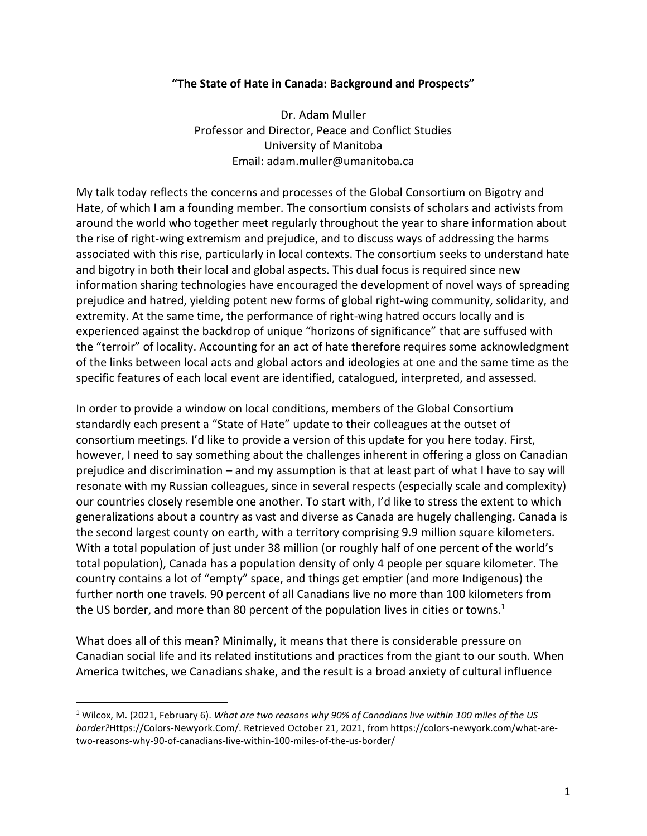## **"The State of Hate in Canada: Background and Prospects"**

Dr. Adam Muller Professor and Director, Peace and Conflict Studies University of Manitoba Email: adam.muller@umanitoba.ca

My talk today reflects the concerns and processes of the Global Consortium on Bigotry and Hate, of which I am a founding member. The consortium consists of scholars and activists from around the world who together meet regularly throughout the year to share information about the rise of right-wing extremism and prejudice, and to discuss ways of addressing the harms associated with this rise, particularly in local contexts. The consortium seeks to understand hate and bigotry in both their local and global aspects. This dual focus is required since new information sharing technologies have encouraged the development of novel ways of spreading prejudice and hatred, yielding potent new forms of global right-wing community, solidarity, and extremity. At the same time, the performance of right-wing hatred occurs locally and is experienced against the backdrop of unique "horizons of significance" that are suffused with the "terroir" of locality. Accounting for an act of hate therefore requires some acknowledgment of the links between local acts and global actors and ideologies at one and the same time as the specific features of each local event are identified, catalogued, interpreted, and assessed.

In order to provide a window on local conditions, members of the Global Consortium standardly each present a "State of Hate" update to their colleagues at the outset of consortium meetings. I'd like to provide a version of this update for you here today. First, however, I need to say something about the challenges inherent in offering a gloss on Canadian prejudice and discrimination – and my assumption is that at least part of what I have to say will resonate with my Russian colleagues, since in several respects (especially scale and complexity) our countries closely resemble one another. To start with, I'd like to stress the extent to which generalizations about a country as vast and diverse as Canada are hugely challenging. Canada is the second largest county on earth, with a territory comprising 9.9 million square kilometers. With a total population of just under 38 million (or roughly half of one percent of the world's total population), Canada has a population density of only 4 people per square kilometer. The country contains a lot of "empty" space, and things get emptier (and more Indigenous) the further north one travels. 90 percent of all Canadians live no more than 100 kilometers from the US border, and more than 80 percent of the population lives in cities or towns.<sup>1</sup>

What does all of this mean? Minimally, it means that there is considerable pressure on Canadian social life and its related institutions and practices from the giant to our south. When America twitches, we Canadians shake, and the result is a broad anxiety of cultural influence

<sup>1</sup> Wilcox, M. (2021, February 6). *What are two reasons why 90% of Canadians live within 100 miles of the US border?*Https://Colors-Newyork.Com/. Retrieved October 21, 2021, from https://colors-newyork.com/what-aretwo-reasons-why-90-of-canadians-live-within-100-miles-of-the-us-border/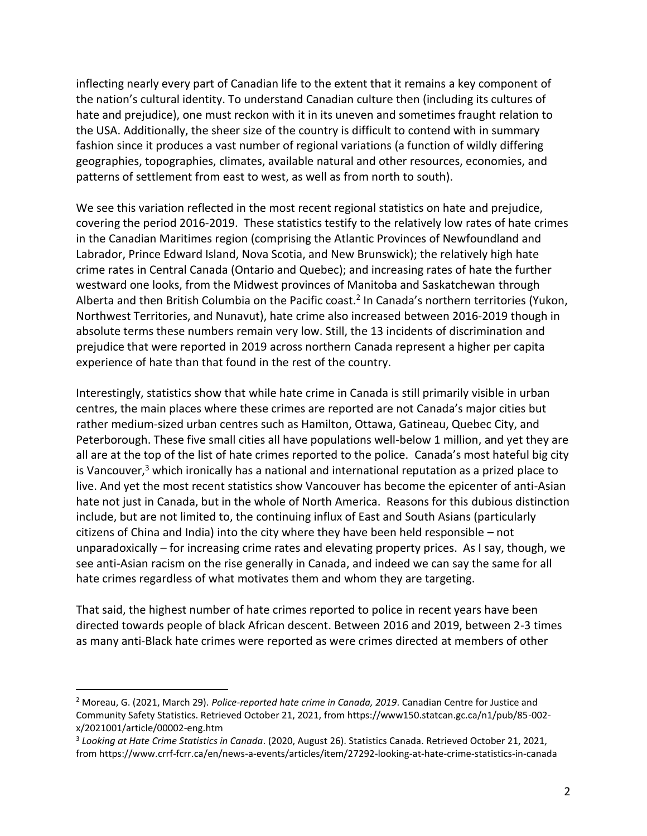inflecting nearly every part of Canadian life to the extent that it remains a key component of the nation's cultural identity. To understand Canadian culture then (including its cultures of hate and prejudice), one must reckon with it in its uneven and sometimes fraught relation to the USA. Additionally, the sheer size of the country is difficult to contend with in summary fashion since it produces a vast number of regional variations (a function of wildly differing geographies, topographies, climates, available natural and other resources, economies, and patterns of settlement from east to west, as well as from north to south).

We see this variation reflected in the most recent regional statistics on hate and prejudice, covering the period 2016-2019. These statistics testify to the relatively low rates of hate crimes in the Canadian Maritimes region (comprising the Atlantic Provinces of Newfoundland and Labrador, Prince Edward Island, Nova Scotia, and New Brunswick); the relatively high hate crime rates in Central Canada (Ontario and Quebec); and increasing rates of hate the further westward one looks, from the Midwest provinces of Manitoba and Saskatchewan through Alberta and then British Columbia on the Pacific coast.<sup>2</sup> In Canada's northern territories (Yukon, Northwest Territories, and Nunavut), hate crime also increased between 2016-2019 though in absolute terms these numbers remain very low. Still, the 13 incidents of discrimination and prejudice that were reported in 2019 across northern Canada represent a higher per capita experience of hate than that found in the rest of the country.

Interestingly, statistics show that while hate crime in Canada is still primarily visible in urban centres, the main places where these crimes are reported are not Canada's major cities but rather medium-sized urban centres such as Hamilton, Ottawa, Gatineau, Quebec City, and Peterborough. These five small cities all have populations well-below 1 million, and yet they are all are at the top of the list of hate crimes reported to the police. Canada's most hateful big city is Vancouver, $3$  which ironically has a national and international reputation as a prized place to live. And yet the most recent statistics show Vancouver has become the epicenter of anti-Asian hate not just in Canada, but in the whole of North America. Reasons for this dubious distinction include, but are not limited to, the continuing influx of East and South Asians (particularly citizens of China and India) into the city where they have been held responsible – not unparadoxically – for increasing crime rates and elevating property prices. As I say, though, we see anti-Asian racism on the rise generally in Canada, and indeed we can say the same for all hate crimes regardless of what motivates them and whom they are targeting.

That said, the highest number of hate crimes reported to police in recent years have been directed towards people of black African descent. Between 2016 and 2019, between 2-3 times as many anti-Black hate crimes were reported as were crimes directed at members of other

<sup>2</sup> Moreau, G. (2021, March 29). *Police-reported hate crime in Canada, 2019*. Canadian Centre for Justice and Community Safety Statistics. Retrieved October 21, 2021, from https://www150.statcan.gc.ca/n1/pub/85-002 x/2021001/article/00002-eng.htm

<sup>3</sup> *Looking at Hate Crime Statistics in Canada*. (2020, August 26). Statistics Canada. Retrieved October 21, 2021, from https://www.crrf-fcrr.ca/en/news-a-events/articles/item/27292-looking-at-hate-crime-statistics-in-canada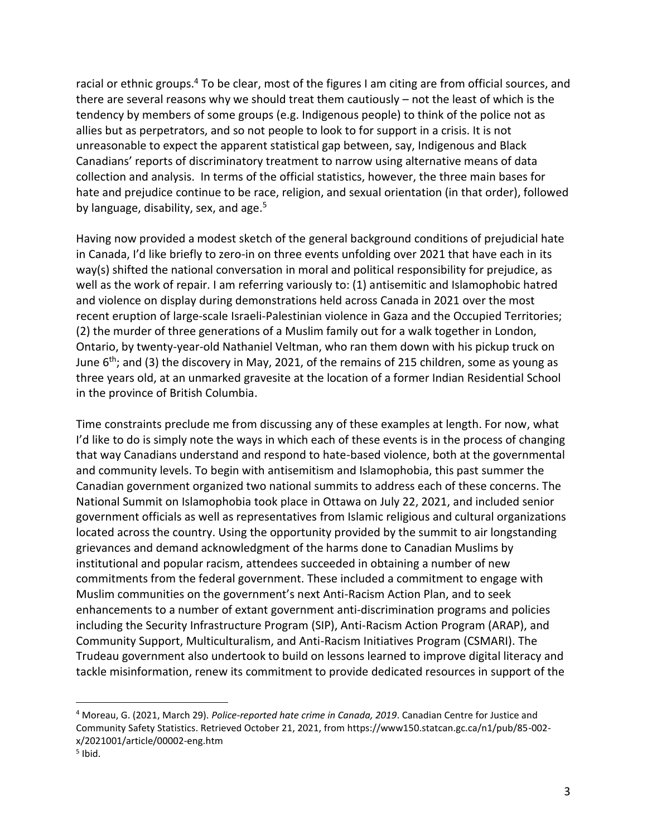racial or ethnic groups.<sup>4</sup> To be clear, most of the figures I am citing are from official sources, and there are several reasons why we should treat them cautiously – not the least of which is the tendency by members of some groups (e.g. Indigenous people) to think of the police not as allies but as perpetrators, and so not people to look to for support in a crisis. It is not unreasonable to expect the apparent statistical gap between, say, Indigenous and Black Canadians' reports of discriminatory treatment to narrow using alternative means of data collection and analysis. In terms of the official statistics, however, the three main bases for hate and prejudice continue to be race, religion, and sexual orientation (in that order), followed by language, disability, sex, and age.<sup>5</sup>

Having now provided a modest sketch of the general background conditions of prejudicial hate in Canada, I'd like briefly to zero-in on three events unfolding over 2021 that have each in its way(s) shifted the national conversation in moral and political responsibility for prejudice, as well as the work of repair. I am referring variously to: (1) antisemitic and Islamophobic hatred and violence on display during demonstrations held across Canada in 2021 over the most recent eruption of large-scale Israeli-Palestinian violence in Gaza and the Occupied Territories; (2) the murder of three generations of a Muslim family out for a walk together in London, Ontario, by twenty-year-old Nathaniel Veltman, who ran them down with his pickup truck on June  $6<sup>th</sup>$ ; and (3) the discovery in May, 2021, of the remains of 215 children, some as young as three years old, at an unmarked gravesite at the location of a former Indian Residential School in the province of British Columbia.

Time constraints preclude me from discussing any of these examples at length. For now, what I'd like to do is simply note the ways in which each of these events is in the process of changing that way Canadians understand and respond to hate-based violence, both at the governmental and community levels. To begin with antisemitism and Islamophobia, this past summer the Canadian government organized two national summits to address each of these concerns. The National Summit on Islamophobia took place in Ottawa on July 22, 2021, and included senior government officials as well as representatives from Islamic religious and cultural organizations located across the country. Using the opportunity provided by the summit to air longstanding grievances and demand acknowledgment of the harms done to Canadian Muslims by institutional and popular racism, attendees succeeded in obtaining a number of new commitments from the federal government. These included a commitment to engage with Muslim communities on the government's next Anti-Racism Action Plan, and to seek enhancements to a number of extant government anti-discrimination programs and policies including the Security Infrastructure Program (SIP), Anti-Racism Action Program (ARAP), and Community Support, Multiculturalism, and Anti-Racism Initiatives Program (CSMARI). The Trudeau government also undertook to build on lessons learned to improve digital literacy and tackle misinformation, renew its commitment to provide dedicated resources in support of the

<sup>4</sup> Moreau, G. (2021, March 29). *Police-reported hate crime in Canada, 2019*. Canadian Centre for Justice and Community Safety Statistics. Retrieved October 21, 2021, from https://www150.statcan.gc.ca/n1/pub/85-002 x/2021001/article/00002-eng.htm

<sup>&</sup>lt;sup>5</sup> Ibid.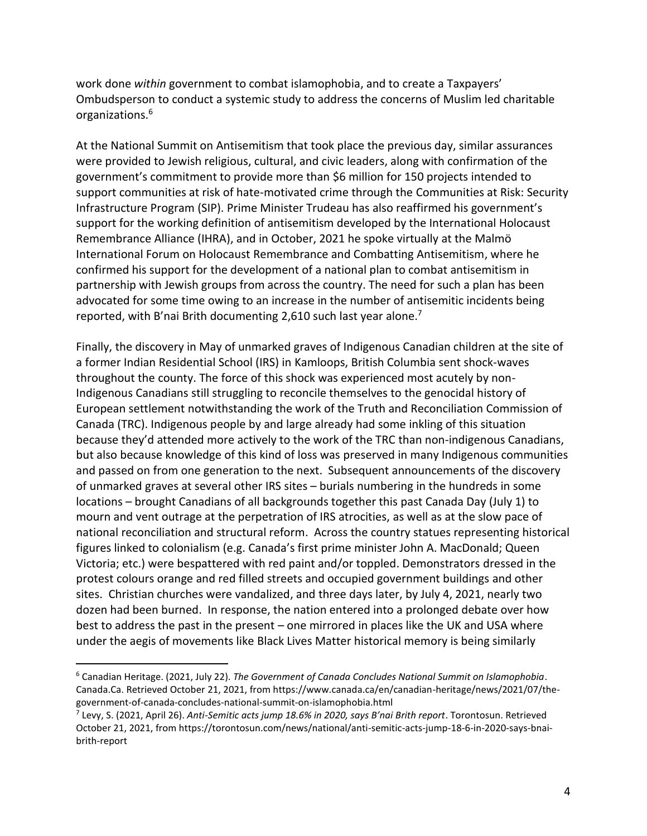work done *within* government to combat islamophobia, and to create a Taxpayers' Ombudsperson to conduct a systemic study to address the concerns of Muslim led charitable organizations. 6

At the National Summit on Antisemitism that took place the previous day, similar assurances were provided to Jewish religious, cultural, and civic leaders, along with confirmation of the government's commitment to provide more than \$6 million for 150 projects intended to support communities at risk of hate-motivated crime through the Communities at Risk: Security Infrastructure Program (SIP). Prime Minister Trudeau has also reaffirmed his government's support for the working definition of antisemitism developed by the International Holocaust Remembrance Alliance (IHRA), and in October, 2021 he spoke virtually at the Malmö International Forum on Holocaust Remembrance and Combatting Antisemitism, where he confirmed his support for the development of a national plan to combat antisemitism in partnership with Jewish groups from across the country. The need for such a plan has been advocated for some time owing to an increase in the number of antisemitic incidents being reported, with B'nai Brith documenting 2,610 such last year alone.<sup>7</sup>

Finally, the discovery in May of unmarked graves of Indigenous Canadian children at the site of a former Indian Residential School (IRS) in Kamloops, British Columbia sent shock-waves throughout the county. The force of this shock was experienced most acutely by non-Indigenous Canadians still struggling to reconcile themselves to the genocidal history of European settlement notwithstanding the work of the Truth and Reconciliation Commission of Canada (TRC). Indigenous people by and large already had some inkling of this situation because they'd attended more actively to the work of the TRC than non-indigenous Canadians, but also because knowledge of this kind of loss was preserved in many Indigenous communities and passed on from one generation to the next. Subsequent announcements of the discovery of unmarked graves at several other IRS sites – burials numbering in the hundreds in some locations – brought Canadians of all backgrounds together this past Canada Day (July 1) to mourn and vent outrage at the perpetration of IRS atrocities, as well as at the slow pace of national reconciliation and structural reform. Across the country statues representing historical figures linked to colonialism (e.g. Canada's first prime minister John A. MacDonald; Queen Victoria; etc.) were bespattered with red paint and/or toppled. Demonstrators dressed in the protest colours orange and red filled streets and occupied government buildings and other sites. Christian churches were vandalized, and three days later, by July 4, 2021, nearly two dozen had been burned. In response, the nation entered into a prolonged debate over how best to address the past in the present – one mirrored in places like the UK and USA where under the aegis of movements like Black Lives Matter historical memory is being similarly

<sup>6</sup> Canadian Heritage. (2021, July 22). *The Government of Canada Concludes National Summit on Islamophobia*. Canada.Ca. Retrieved October 21, 2021, from https://www.canada.ca/en/canadian-heritage/news/2021/07/thegovernment-of-canada-concludes-national-summit-on-islamophobia.html

<sup>7</sup> Levy, S. (2021, April 26). *Anti-Semitic acts jump 18.6% in 2020, says B'nai Brith report*. Torontosun. Retrieved October 21, 2021, from https://torontosun.com/news/national/anti-semitic-acts-jump-18-6-in-2020-says-bnaibrith-report